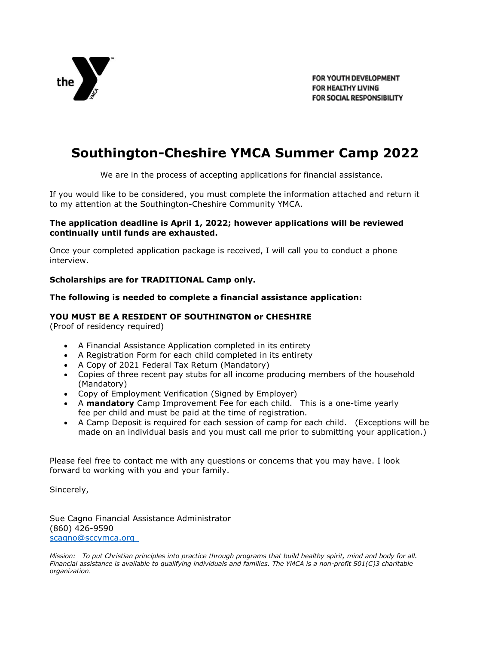

FOR YOUTH DEVELOPMENT FOR HEALTHY LIVING FOR SOCIAL RESPONSIBILITY

# **Southington-Cheshire YMCA Summer Camp 2022**

We are in the process of accepting applications for financial assistance.

If you would like to be considered, you must complete the information attached and return it to my attention at the Southington-Cheshire Community YMCA.

### **The application deadline is April 1, 2022; however applications will be reviewed continually until funds are exhausted.**

Once your completed application package is received, I will call you to conduct a phone interview.

### **Scholarships are for TRADITIONAL Camp only.**

### **The following is needed to complete a financial assistance application:**

### **YOU MUST BE A RESIDENT OF SOUTHINGTON or CHESHIRE**

(Proof of residency required)

- A Financial Assistance Application completed in its entirety
- A Registration Form for each child completed in its entirety
- A Copy of 2021 Federal Tax Return (Mandatory)
- Copies of three recent pay stubs for all income producing members of the household (Mandatory)
- Copy of Employment Verification (Signed by Employer)
- A **mandatory** Camp Improvement Fee for each child. This is a one-time yearly fee per child and must be paid at the time of registration.
- A Camp Deposit is required for each session of camp for each child. (Exceptions will be made on an individual basis and you must call me prior to submitting your application.)

Please feel free to contact me with any questions or concerns that you may have. I look forward to working with you and your family.

Sincerely,

Sue Cagno Financial Assistance Administrator (860) 426-9590 scagno@sccymca.org

*Mission: To put Christian principles into practice through programs that build healthy spirit, mind and body for all. Financial assistance is available to qualifying individuals and families. The YMCA is a non-profit 501(C)3 charitable organization.*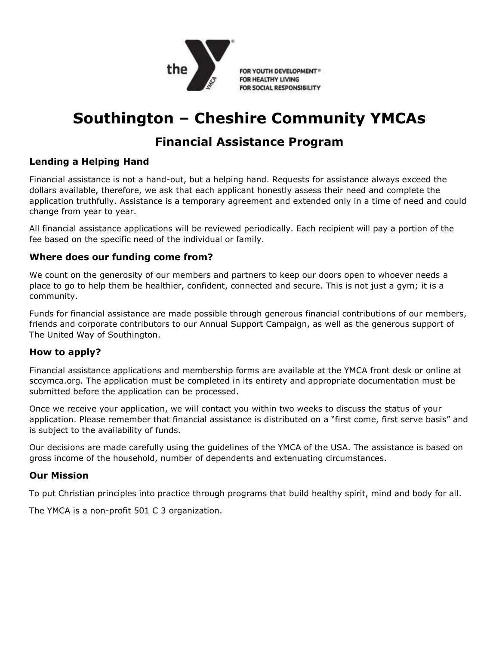

FOR YOUTH DEVELOPMENT® FOR HEALTHY LIVING FOR SOCIAL RESPONSIBILITY

# **Southington – Cheshire Community YMCAs**

# **Financial Assistance Program**

# **Lending a Helping Hand**

Financial assistance is not a hand-out, but a helping hand. Requests for assistance always exceed the dollars available, therefore, we ask that each applicant honestly assess their need and complete the application truthfully. Assistance is a temporary agreement and extended only in a time of need and could change from year to year.

All financial assistance applications will be reviewed periodically. Each recipient will pay a portion of the fee based on the specific need of the individual or family.

## **Where does our funding come from?**

We count on the generosity of our members and partners to keep our doors open to whoever needs a place to go to help them be healthier, confident, connected and secure. This is not just a gym; it is a community.

Funds for financial assistance are made possible through generous financial contributions of our members, friends and corporate contributors to our Annual Support Campaign, as well as the generous support of The United Way of Southington.

## **How to apply?**

Financial assistance applications and membership forms are available at the YMCA front desk or online at sccymca.org. The application must be completed in its entirety and appropriate documentation must be submitted before the application can be processed.

Once we receive your application, we will contact you within two weeks to discuss the status of your application. Please remember that financial assistance is distributed on a "first come, first serve basis" and is subject to the availability of funds.

Our decisions are made carefully using the guidelines of the YMCA of the USA. The assistance is based on gross income of the household, number of dependents and extenuating circumstances.

## **Our Mission**

To put Christian principles into practice through programs that build healthy spirit, mind and body for all.

The YMCA is a non-profit 501 C 3 organization.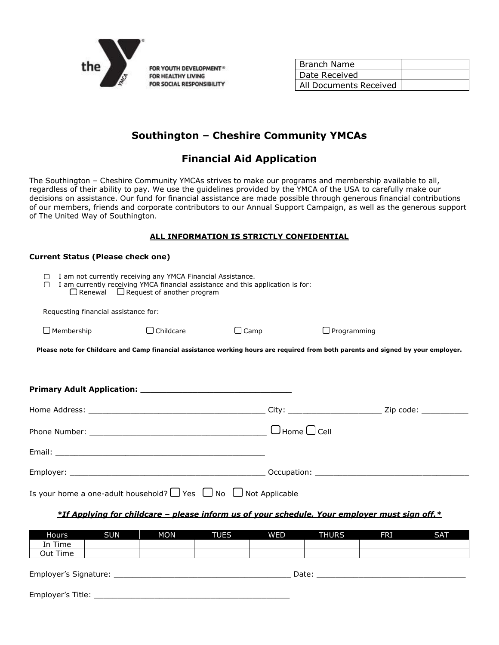

**Current Status (Please check one)**

| l Branch Name          |  |
|------------------------|--|
| Date Received          |  |
| All Documents Received |  |

# **Southington – Cheshire Community YMCAs**

# **Financial Aid Application**

The Southington – Cheshire Community YMCAs strives to make our programs and membership available to all, regardless of their ability to pay. We use the guidelines provided by the YMCA of the USA to carefully make our decisions on assistance. Our fund for financial assistance are made possible through generous financial contributions of our members, friends and corporate contributors to our Annual Support Campaign, as well as the generous support of The United Way of Southington.

### **ALL INFORMATION IS STRICTLY CONFIDENTIAL**

| Current Status (Please check one)                                                                                                                                                                                 |                  |             |                    |  |  |
|-------------------------------------------------------------------------------------------------------------------------------------------------------------------------------------------------------------------|------------------|-------------|--------------------|--|--|
| I am not currently receiving any YMCA Financial Assistance.<br>$\Box$<br>I am currently receiving YMCA financial assistance and this application is for:<br>∩<br>$\Box$ Renewal $\Box$ Request of another program |                  |             |                    |  |  |
| Requesting financial assistance for:                                                                                                                                                                              |                  |             |                    |  |  |
| $\Box$ Membership                                                                                                                                                                                                 | $\Box$ Childcare | $\Box$ Camp | $\Box$ Programming |  |  |
| Please note for Childcare and Camp financial assistance working hours are required from both parents and signed by your employer.                                                                                 |                  |             |                    |  |  |
|                                                                                                                                                                                                                   |                  |             |                    |  |  |
|                                                                                                                                                                                                                   |                  |             |                    |  |  |
|                                                                                                                                                                                                                   |                  |             |                    |  |  |
|                                                                                                                                                                                                                   |                  |             |                    |  |  |
|                                                                                                                                                                                                                   |                  |             |                    |  |  |
|                                                                                                                                                                                                                   |                  |             |                    |  |  |
| Is your home a one-adult household? $\Box$ Yes $\Box$ No $\Box$ Not Applicable                                                                                                                                    |                  |             |                    |  |  |

### *\*If Applying for childcare – please inform us of your schedule. Your employer must sign off.\**

| Hours                          | <b>SUN</b> | <b>MON</b> | <b>TUES</b> | WED | <b>THURS</b> | <b>FRI</b> | <b>SAT</b> |
|--------------------------------|------------|------------|-------------|-----|--------------|------------|------------|
| In Time                        |            |            |             |     |              |            |            |
| Out Time                       |            |            |             |     |              |            |            |
| Employer's Signature:<br>Date: |            |            |             |     |              |            |            |
| Employer's Title:              |            |            |             |     |              |            |            |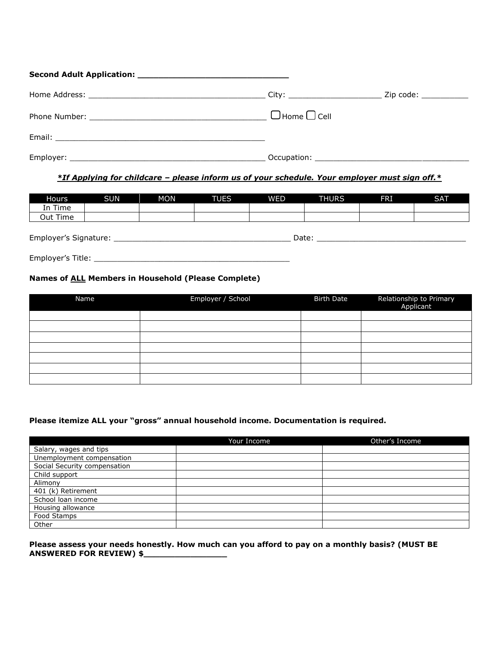| $\Box$ Home $\Box$ Cell |  |
|-------------------------|--|
|                         |  |
|                         |  |

### *\*If Applying for childcare – please inform us of your schedule. Your employer must sign off.\**

| Hours                          | <b>SUN</b> | <b>MON</b> | <b>TUES</b> | <b>WED</b> | <b>THURS</b> | FRI | <b>SAT</b> |
|--------------------------------|------------|------------|-------------|------------|--------------|-----|------------|
| In Time                        |            |            |             |            |              |     |            |
| Out Time                       |            |            |             |            |              |     |            |
|                                |            |            |             |            |              |     |            |
| Employer's Signature:<br>Date: |            |            |             |            |              |     |            |

Employer's Title: \_\_\_\_\_\_\_\_\_\_\_\_\_\_\_\_\_\_\_\_\_\_\_\_\_\_\_\_\_\_\_\_\_\_\_\_\_\_\_\_\_\_

### **Names of ALL Members in Household (Please Complete)**

| Name | Employer / School | <b>Birth Date</b> | Relationship to Primary<br>Applicant |
|------|-------------------|-------------------|--------------------------------------|
|      |                   |                   |                                      |
|      |                   |                   |                                      |
|      |                   |                   |                                      |
|      |                   |                   |                                      |
|      |                   |                   |                                      |
|      |                   |                   |                                      |
|      |                   |                   |                                      |

#### **Please itemize ALL your "gross" annual household income. Documentation is required.**

|                              | Your Income | Other's Income |
|------------------------------|-------------|----------------|
| Salary, wages and tips       |             |                |
| Unemployment compensation    |             |                |
| Social Security compensation |             |                |
| Child support                |             |                |
| Alimony                      |             |                |
| 401 (k) Retirement           |             |                |
| School loan income           |             |                |
| Housing allowance            |             |                |
| Food Stamps                  |             |                |
| Other                        |             |                |

#### **Please assess your needs honestly. How much can you afford to pay on a monthly basis? (MUST BE ANSWERED FOR REVIEW) \$\_\_\_\_\_\_\_\_\_\_\_\_\_\_\_\_**